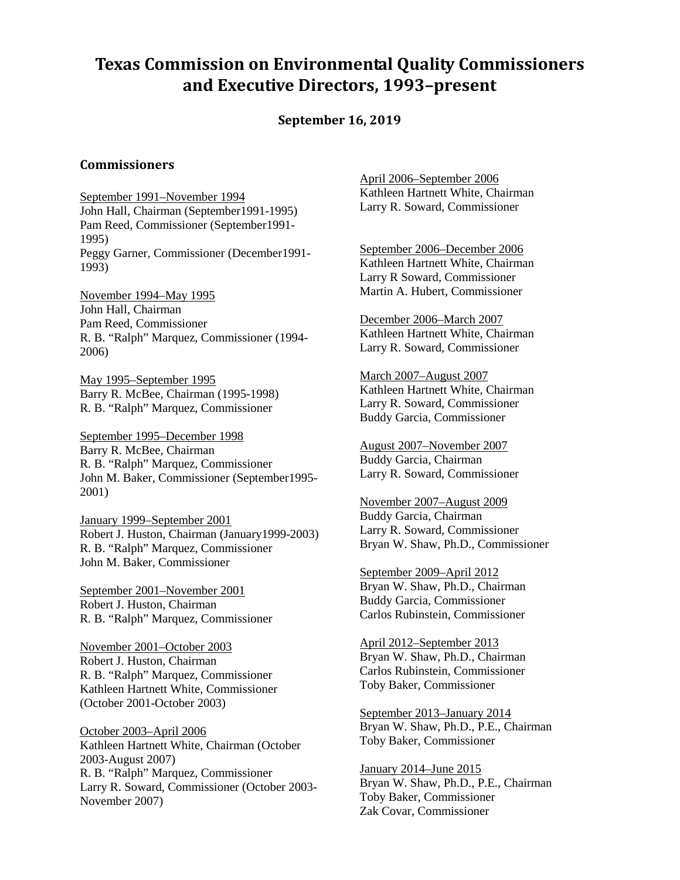## **Texas Commission on Environmental Quality Commissioners and Executive Directors, 1993–present**

**September 16, 2019**

## **Commissioners**

September 1991–November 1994 John Hall, Chairman (September1991-1995) Pam Reed, Commissioner (September1991- 1995) Peggy Garner, Commissioner (December1991- 1993)

November 1994–May 1995 John Hall, Chairman Pam Reed, Commissioner R. B. "Ralph" Marquez, Commissioner (1994- 2006)

May 1995–September 1995 Barry R. McBee, Chairman (1995-1998) R. B. "Ralph" Marquez, Commissioner

September 1995–December 1998 Barry R. McBee, Chairman R. B. "Ralph" Marquez, Commissioner John M. Baker, Commissioner (September1995- 2001)

January 1999–September 2001 Robert J. Huston, Chairman (January1999-2003) R. B. "Ralph" Marquez, Commissioner John M. Baker, Commissioner

September 2001–November 2001 Robert J. Huston, Chairman R. B. "Ralph" Marquez, Commissioner

November 2001–October 2003 Robert J. Huston, Chairman R. B. "Ralph" Marquez, Commissioner Kathleen Hartnett White, Commissioner (October 2001-October 2003)

October 2003–April 2006 Kathleen Hartnett White, Chairman (October 2003-August 2007) R. B. "Ralph" Marquez, Commissioner Larry R. Soward, Commissioner (October 2003- November 2007)

April 2006–September 2006 Kathleen Hartnett White, Chairman Larry R. Soward, Commissioner

September 2006–December 2006 Kathleen Hartnett White, Chairman Larry R Soward, Commissioner Martin A. Hubert, Commissioner

December 2006–March 2007 Kathleen Hartnett White, Chairman Larry R. Soward, Commissioner

March 2007–August 2007 Kathleen Hartnett White, Chairman Larry R. Soward, Commissioner Buddy Garcia, Commissioner

August 2007–November 2007 Buddy Garcia, Chairman Larry R. Soward, Commissioner

November 2007–August 2009 Buddy Garcia, Chairman Larry R. Soward, Commissioner Bryan W. Shaw, Ph.D., Commissioner

September 2009–April 2012 Bryan W. Shaw, Ph.D., Chairman Buddy Garcia, Commissioner Carlos Rubinstein, Commissioner

April 2012–September 2013 Bryan W. Shaw, Ph.D., Chairman Carlos Rubinstein, Commissioner Toby Baker, Commissioner

September 2013–January 2014 Bryan W. Shaw, Ph.D., P.E., Chairman Toby Baker, Commissioner

January 2014–June 2015 Bryan W. Shaw, Ph.D., P.E., Chairman Toby Baker, Commissioner Zak Covar, Commissioner